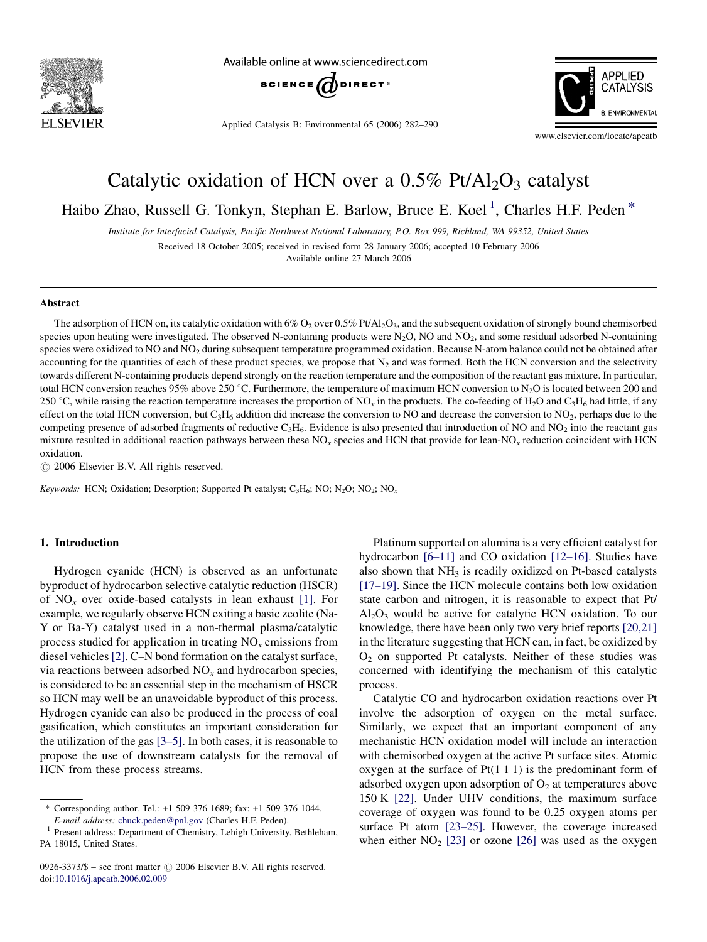

Available online at www.sciencedirect.com



Applied Catalysis B: Environmental 65 (2006) 282–290



www.elsevier.com/locate/apcatb

# Catalytic oxidation of HCN over a  $0.5\%$  Pt/Al<sub>2</sub>O<sub>3</sub> catalyst

Haibo Zhao, Russell G. Tonkyn, Stephan E. Barlow, Bruce E. Koel<sup>1</sup>, Charles H.F. Peden<sup>\*</sup>

Institute for Interfacial Catalysis, Pacific Northwest National Laboratory, P.O. Box 999, Richland, WA 99352, United States

Received 18 October 2005; received in revised form 28 January 2006; accepted 10 February 2006 Available online 27 March 2006

#### Abstract

The adsorption of HCN on, its catalytic oxidation with  $6\%$  O<sub>2</sub> over 0.5% Pt/Al<sub>2</sub>O<sub>3</sub>, and the subsequent oxidation of strongly bound chemisorbed species upon heating were investigated. The observed N-containing products were  $N_2O$ , NO and  $NO_2$ , and some residual adsorbed N-containing species were oxidized to NO and NO<sub>2</sub> during subsequent temperature programmed oxidation. Because N-atom balance could not be obtained after accounting for the quantities of each of these product species, we propose that  $N_2$  and was formed. Both the HCN conversion and the selectivity towards different N-containing products depend strongly on the reaction temperature and the composition of the reactant gas mixture. In particular, total HCN conversion reaches 95% above 250 °C. Furthermore, the temperature of maximum HCN conversion to N<sub>2</sub>O is located between 200 and 250 °C, while raising the reaction temperature increases the proportion of NO<sub>x</sub> in the products. The co-feeding of H<sub>2</sub>O and C<sub>3</sub>H<sub>6</sub> had little, if any effect on the total HCN conversion, but  $C_3H_6$  addition did increase the conversion to NO and decrease the conversion to NO<sub>2</sub>, perhaps due to the competing presence of adsorbed fragments of reductive  $C_3H_6$ . Evidence is also presented that introduction of NO and NO<sub>2</sub> into the reactant gas mixture resulted in additional reaction pathways between these  $NO<sub>x</sub>$  species and HCN that provide for lean-NO<sub>x</sub> reduction coincident with HCN oxidation.

 $\odot$  2006 Elsevier B.V. All rights reserved.

Keywords: HCN; Oxidation; Desorption; Supported Pt catalyst;  $C_3H_6$ ; NO; N<sub>2</sub>O; NO<sub>2</sub>; NO<sub>x</sub>

## 1. Introduction

Hydrogen cyanide (HCN) is observed as an unfortunate byproduct of hydrocarbon selective catalytic reduction (HSCR) of  $NO<sub>x</sub>$  over oxide-based catalysts in lean exhaust [\[1\].](#page-7-0) For example, we regularly observe HCN exiting a basic zeolite (Na-Y or Ba-Y) catalyst used in a non-thermal plasma/catalytic process studied for application in treating  $NO<sub>x</sub>$  emissions from diesel vehicles [\[2\].](#page-7-0) C–N bond formation on the catalyst surface, via reactions between adsorbed  $NO<sub>x</sub>$  and hydrocarbon species, is considered to be an essential step in the mechanism of HSCR so HCN may well be an unavoidable byproduct of this process. Hydrogen cyanide can also be produced in the process of coal gasification, which constitutes an important consideration for the utilization of the gas [\[3–5\].](#page-7-0) In both cases, it is reasonable to propose the use of downstream catalysts for the removal of HCN from these process streams.

Platinum supported on alumina is a very efficient catalyst for hydrocarbon [\[6–11\]](#page-7-0) and CO oxidation [\[12–16\].](#page-7-0) Studies have also shown that  $NH<sub>3</sub>$  is readily oxidized on Pt-based catalysts [\[17–19\]](#page-8-0). Since the HCN molecule contains both low oxidation state carbon and nitrogen, it is reasonable to expect that Pt/  $Al<sub>2</sub>O<sub>3</sub>$  would be active for catalytic HCN oxidation. To our knowledge, there have been only two very brief reports [\[20,21\]](#page-8-0) in the literature suggesting that HCN can, in fact, be oxidized by  $O<sub>2</sub>$  on supported Pt catalysts. Neither of these studies was concerned with identifying the mechanism of this catalytic process.

Catalytic CO and hydrocarbon oxidation reactions over Pt involve the adsorption of oxygen on the metal surface. Similarly, we expect that an important component of any mechanistic HCN oxidation model will include an interaction with chemisorbed oxygen at the active Pt surface sites. Atomic oxygen at the surface of  $Pt(1\ 1\ 1)$  is the predominant form of adsorbed oxygen upon adsorption of  $O<sub>2</sub>$  at temperatures above 150 K [\[22\].](#page-8-0) Under UHV conditions, the maximum surface coverage of oxygen was found to be 0.25 oxygen atoms per surface Pt atom [\[23–25\].](#page-8-0) However, the coverage increased when either  $NO<sub>2</sub>$  [\[23\]](#page-8-0) or ozone [\[26\]](#page-8-0) was used as the oxygen

<sup>\*</sup> Corresponding author. Tel.: +1 509 376 1689; fax: +1 509 376 1044.

E-mail address: [chuck.peden@pnl.gov](mailto:chuck.peden@pnl.gov) (Charles H.F. Peden). <sup>1</sup> Present address: Department of Chemistry, Lehigh University, Bethleham, PA 18015, United States.

 $0926-3373/\$  – see front matter  $\odot$  2006 Elsevier B.V. All rights reserved. doi[:10.1016/j.apcatb.2006.02.009](http://dx.doi.org/10.1016/j.apcatb.2006.02.009)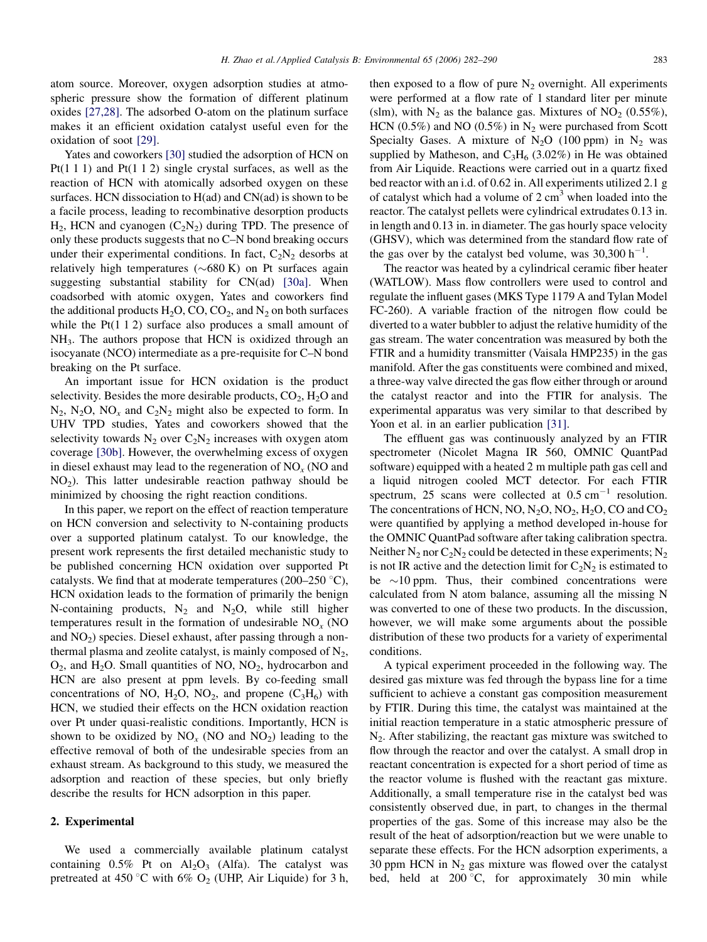atom source. Moreover, oxygen adsorption studies at atmospheric pressure show the formation of different platinum oxides [\[27,28\].](#page-8-0) The adsorbed O-atom on the platinum surface makes it an efficient oxidation catalyst useful even for the oxidation of soot [\[29\].](#page-8-0)

Yates and coworkers [\[30\]](#page-8-0) studied the adsorption of HCN on Pt(1 1 1) and Pt(1 1 2) single crystal surfaces, as well as the reaction of HCN with atomically adsorbed oxygen on these surfaces. HCN dissociation to H(ad) and CN(ad) is shown to be a facile process, leading to recombinative desorption products  $H_2$ , HCN and cyanogen  $(C_2N_2)$  during TPD. The presence of only these products suggests that no C–N bond breaking occurs under their experimental conditions. In fact,  $C_2N_2$  desorbs at relatively high temperatures ( $\sim 680 \text{ K}$ ) on Pt surfaces again suggesting substantial stability for CN(ad) [\[30a\].](#page-8-0) When coadsorbed with atomic oxygen, Yates and coworkers find the additional products  $H_2O$ , CO, CO<sub>2</sub>, and  $N_2$  on both surfaces while the Pt(1 1 2) surface also produces a small amount of NH3. The authors propose that HCN is oxidized through an isocyanate (NCO) intermediate as a pre-requisite for C–N bond breaking on the Pt surface.

An important issue for HCN oxidation is the product selectivity. Besides the more desirable products,  $CO<sub>2</sub>$ ,  $H<sub>2</sub>O$  and  $N_2$ ,  $N_2O$ ,  $NO_x$  and  $C_2N_2$  might also be expected to form. In UHV TPD studies, Yates and coworkers showed that the selectivity towards  $N_2$  over  $C_2N_2$  increases with oxygen atom coverage [\[30b\].](#page-8-0) However, the overwhelming excess of oxygen in diesel exhaust may lead to the regeneration of  $NO<sub>x</sub>$  (NO and NO2). This latter undesirable reaction pathway should be minimized by choosing the right reaction conditions.

In this paper, we report on the effect of reaction temperature on HCN conversion and selectivity to N-containing products over a supported platinum catalyst. To our knowledge, the present work represents the first detailed mechanistic study to be published concerning HCN oxidation over supported Pt catalysts. We find that at moderate temperatures (200–250  $\degree$ C), HCN oxidation leads to the formation of primarily the benign N-containing products,  $N_2$  and  $N_2O$ , while still higher temperatures result in the formation of undesirable  $NO<sub>x</sub>$  (NO and  $NO<sub>2</sub>$ ) species. Diesel exhaust, after passing through a nonthermal plasma and zeolite catalyst, is mainly composed of  $N_2$ ,  $O_2$ , and H<sub>2</sub>O. Small quantities of NO, NO<sub>2</sub>, hydrocarbon and HCN are also present at ppm levels. By co-feeding small concentrations of NO,  $H_2O$ , NO<sub>2</sub>, and propene  $(C_3H_6)$  with HCN, we studied their effects on the HCN oxidation reaction over Pt under quasi-realistic conditions. Importantly, HCN is shown to be oxidized by  $NO_x$  (NO and  $NO_2$ ) leading to the effective removal of both of the undesirable species from an exhaust stream. As background to this study, we measured the adsorption and reaction of these species, but only briefly describe the results for HCN adsorption in this paper.

## 2. Experimental

We used a commercially available platinum catalyst containing  $0.5\%$  Pt on  $Al_2O_3$  (Alfa). The catalyst was pretreated at 450 °C with 6%  $O_2$  (UHP, Air Liquide) for 3 h, then exposed to a flow of pure  $N_2$  overnight. All experiments were performed at a flow rate of 1 standard liter per minute (slm), with  $N_2$  as the balance gas. Mixtures of  $NO_2$  (0.55%), HCN (0.5%) and NO (0.5%) in  $N_2$  were purchased from Scott Specialty Gases. A mixture of  $N_2O$  (100 ppm) in  $N_2$  was supplied by Matheson, and  $C_3H_6$  (3.02%) in He was obtained from Air Liquide. Reactions were carried out in a quartz fixed bed reactor with an i.d. of 0.62 in. All experiments utilized 2.1 g of catalyst which had a volume of  $2 \text{ cm}^3$  when loaded into the reactor. The catalyst pellets were cylindrical extrudates 0.13 in. in length and 0.13 in. in diameter. The gas hourly space velocity (GHSV), which was determined from the standard flow rate of the gas over by the catalyst bed volume, was  $30,300 \text{ h}^{-1}$ .

The reactor was heated by a cylindrical ceramic fiber heater (WATLOW). Mass flow controllers were used to control and regulate the influent gases (MKS Type 1179 A and Tylan Model FC-260). A variable fraction of the nitrogen flow could be diverted to a water bubbler to adjust the relative humidity of the gas stream. The water concentration was measured by both the FTIR and a humidity transmitter (Vaisala HMP235) in the gas manifold. After the gas constituents were combined and mixed, a three-way valve directed the gas flow either through or around the catalyst reactor and into the FTIR for analysis. The experimental apparatus was very similar to that described by Yoon et al. in an earlier publication [\[31\].](#page-8-0)

The effluent gas was continuously analyzed by an FTIR spectrometer (Nicolet Magna IR 560, OMNIC QuantPad software) equipped with a heated 2 m multiple path gas cell and a liquid nitrogen cooled MCT detector. For each FTIR spectrum, 25 scans were collected at  $0.5 \text{ cm}^{-1}$  resolution. The concentrations of HCN, NO,  $N_2O$ , NO<sub>2</sub>, H<sub>2</sub>O, CO and CO<sub>2</sub> were quantified by applying a method developed in-house for the OMNIC QuantPad software after taking calibration spectra. Neither  $N_2$  nor  $C_2N_2$  could be detected in these experiments;  $N_2$ is not IR active and the detection limit for  $C_2N_2$  is estimated to be  $\sim$ 10 ppm. Thus, their combined concentrations were calculated from N atom balance, assuming all the missing N was converted to one of these two products. In the discussion, however, we will make some arguments about the possible distribution of these two products for a variety of experimental conditions.

A typical experiment proceeded in the following way. The desired gas mixture was fed through the bypass line for a time sufficient to achieve a constant gas composition measurement by FTIR. During this time, the catalyst was maintained at the initial reaction temperature in a static atmospheric pressure of  $N<sub>2</sub>$ . After stabilizing, the reactant gas mixture was switched to flow through the reactor and over the catalyst. A small drop in reactant concentration is expected for a short period of time as the reactor volume is flushed with the reactant gas mixture. Additionally, a small temperature rise in the catalyst bed was consistently observed due, in part, to changes in the thermal properties of the gas. Some of this increase may also be the result of the heat of adsorption/reaction but we were unable to separate these effects. For the HCN adsorption experiments, a 30 ppm HCN in  $N_2$  gas mixture was flowed over the catalyst bed, held at  $200 \degree C$ , for approximately 30 min while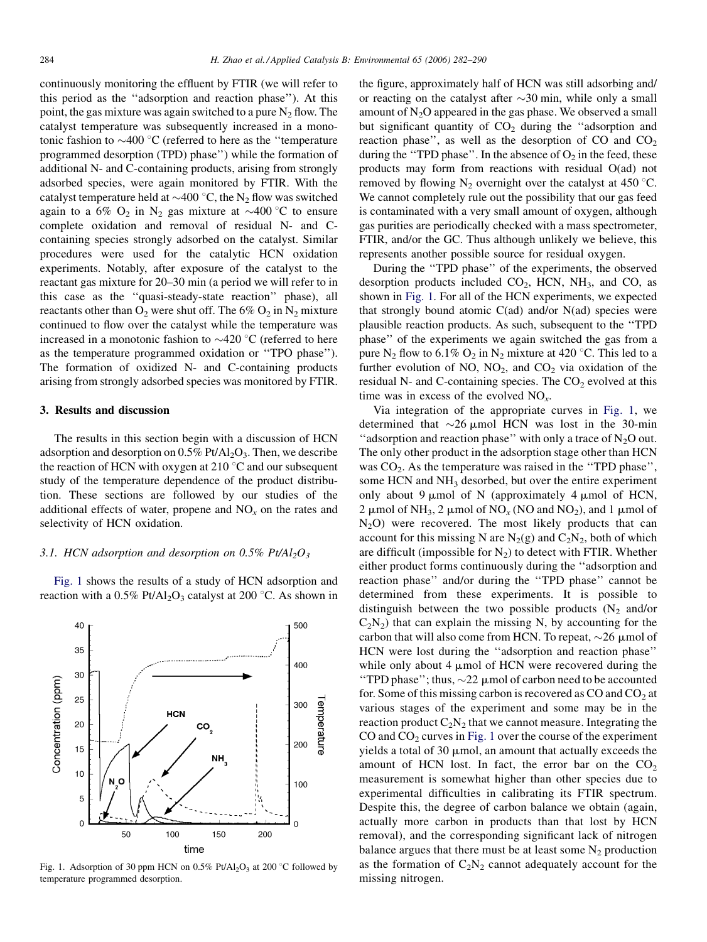<span id="page-2-0"></span>continuously monitoring the effluent by FTIR (we will refer to this period as the ''adsorption and reaction phase''). At this point, the gas mixture was again switched to a pure  $N_2$  flow. The catalyst temperature was subsequently increased in a monotonic fashion to  $\sim$ 400 °C (referred to here as the "temperature" programmed desorption (TPD) phase'') while the formation of additional N- and C-containing products, arising from strongly adsorbed species, were again monitored by FTIR. With the catalyst temperature held at  $\sim$ 400 °C, the N<sub>2</sub> flow was switched again to a 6%  $O_2$  in N<sub>2</sub> gas mixture at  $\sim$ 400 °C to ensure complete oxidation and removal of residual N- and Ccontaining species strongly adsorbed on the catalyst. Similar procedures were used for the catalytic HCN oxidation experiments. Notably, after exposure of the catalyst to the reactant gas mixture for 20–30 min (a period we will refer to in this case as the ''quasi-steady-state reaction'' phase), all reactants other than  $O_2$  were shut off. The 6%  $O_2$  in  $N_2$  mixture continued to flow over the catalyst while the temperature was increased in a monotonic fashion to  $\sim$ 420 °C (referred to here as the temperature programmed oxidation or ''TPO phase''). The formation of oxidized N- and C-containing products arising from strongly adsorbed species was monitored by FTIR.

## 3. Results and discussion

The results in this section begin with a discussion of HCN adsorption and desorption on  $0.5\%$  Pt/Al<sub>2</sub>O<sub>3</sub>. Then, we describe the reaction of HCN with oxygen at 210  $\degree$ C and our subsequent study of the temperature dependence of the product distribution. These sections are followed by our studies of the additional effects of water, propene and  $NO<sub>x</sub>$  on the rates and selectivity of HCN oxidation.

## 3.1. HCN adsorption and desorption on 0.5% Pt/Al<sub>2</sub>O<sub>3</sub>

Fig. 1 shows the results of a study of HCN adsorption and reaction with a  $0.5\%$  Pt/Al<sub>2</sub>O<sub>3</sub> catalyst at 200 °C. As shown in



Fig. 1. Adsorption of 30 ppm HCN on  $0.5\%$  Pt/Al<sub>2</sub>O<sub>3</sub> at 200 °C followed by temperature programmed desorption.

the figure, approximately half of HCN was still adsorbing and/ or reacting on the catalyst after  $\sim$ 30 min, while only a small amount of  $N<sub>2</sub>O$  appeared in the gas phase. We observed a small but significant quantity of  $CO<sub>2</sub>$  during the "adsorption and reaction phase", as well as the desorption of CO and  $CO<sub>2</sub>$ during the "TPD phase". In the absence of  $O_2$  in the feed, these products may form from reactions with residual O(ad) not removed by flowing  $N_2$  overnight over the catalyst at 450 °C. We cannot completely rule out the possibility that our gas feed is contaminated with a very small amount of oxygen, although gas purities are periodically checked with a mass spectrometer, FTIR, and/or the GC. Thus although unlikely we believe, this represents another possible source for residual oxygen.

During the ''TPD phase'' of the experiments, the observed desorption products included  $CO<sub>2</sub>$ , HCN, NH<sub>3</sub>, and CO, as shown in Fig. 1. For all of the HCN experiments, we expected that strongly bound atomic  $C(ad)$  and/or  $N(ad)$  species were plausible reaction products. As such, subsequent to the ''TPD phase'' of the experiments we again switched the gas from a pure N<sub>2</sub> flow to 6.1% O<sub>2</sub> in N<sub>2</sub> mixture at 420 °C. This led to a further evolution of NO,  $NO<sub>2</sub>$ , and  $CO<sub>2</sub>$  via oxidation of the residual N- and C-containing species. The  $CO<sub>2</sub>$  evolved at this time was in excess of the evolved  $NO<sub>x</sub>$ .

Via integration of the appropriate curves in Fig. 1, we determined that  $\sim$ 26 µmol HCN was lost in the 30-min "adsorption and reaction phase" with only a trace of  $N_2O$  out. The only other product in the adsorption stage other than HCN was  $CO<sub>2</sub>$ . As the temperature was raised in the "TPD phase", some HCN and NH<sub>3</sub> desorbed, but over the entire experiment only about 9  $\mu$ mol of N (approximately 4  $\mu$ mol of HCN, 2  $\mu$ mol of NH<sub>3</sub>, 2  $\mu$ mol of NO<sub>x</sub> (NO and NO<sub>2</sub>), and 1  $\mu$ mol of  $N_2$ O) were recovered. The most likely products that can account for this missing N are  $N_2(g)$  and  $C_2N_2$ , both of which are difficult (impossible for  $N_2$ ) to detect with FTIR. Whether either product forms continuously during the ''adsorption and reaction phase'' and/or during the ''TPD phase'' cannot be determined from these experiments. It is possible to distinguish between the two possible products  $(N_2 \text{ and/or})$  $C_2N_2$ ) that can explain the missing N, by accounting for the carbon that will also come from HCN. To repeat,  $\sim$ 26  $\mu$ mol of HCN were lost during the ''adsorption and reaction phase'' while only about 4  $\mu$ mol of HCN were recovered during the "TPD phase"; thus,  $\sim$ 22  $\mu$ mol of carbon need to be accounted for. Some of this missing carbon is recovered as  $CO$  and  $CO<sub>2</sub>$  at various stages of the experiment and some may be in the reaction product  $C_2N_2$  that we cannot measure. Integrating the CO and  $CO<sub>2</sub>$  curves in Fig. 1 over the course of the experiment yields a total of 30  $\mu$ mol, an amount that actually exceeds the amount of HCN lost. In fact, the error bar on the  $CO<sub>2</sub>$ measurement is somewhat higher than other species due to experimental difficulties in calibrating its FTIR spectrum. Despite this, the degree of carbon balance we obtain (again, actually more carbon in products than that lost by HCN removal), and the corresponding significant lack of nitrogen balance argues that there must be at least some  $N_2$  production as the formation of  $C_2N_2$  cannot adequately account for the missing nitrogen.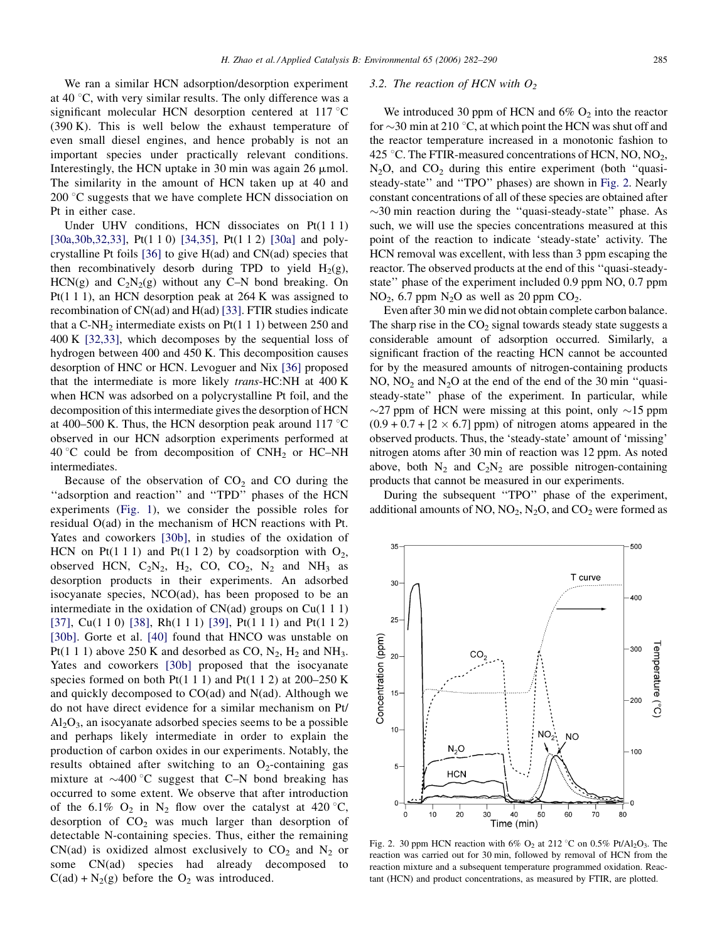<span id="page-3-0"></span>We ran a similar HCN adsorption/desorption experiment at 40  $\degree$ C, with very similar results. The only difference was a significant molecular HCN desorption centered at  $117 \degree C$ (390 K). This is well below the exhaust temperature of even small diesel engines, and hence probably is not an important species under practically relevant conditions. Interestingly, the HCN uptake in 30 min was again 26  $\mu$ mol. The similarity in the amount of HCN taken up at 40 and 200  $\degree$ C suggests that we have complete HCN dissociation on Pt in either case.

Under UHV conditions, HCN dissociates on Pt(1 1 1) [\[30a,30b,32,33\]](#page-8-0), Pt(1 1 0) [\[34,35\],](#page-8-0) Pt(1 1 2) [\[30a\]](#page-8-0) and polycrystalline Pt foils [\[36\]](#page-8-0) to give H(ad) and CN(ad) species that then recombinatively desorb during TPD to yield  $H_2(g)$ , HCN(g) and  $C_2N_2(g)$  without any C–N bond breaking. On Pt(1 1 1), an HCN desorption peak at 264 K was assigned to recombination of CN(ad) and H(ad) [\[33\].](#page-8-0) FTIR studies indicate that a C-NH<sub>2</sub> intermediate exists on Pt $(1\ 1\ 1)$  between 250 and 400 K [\[32,33\],](#page-8-0) which decomposes by the sequential loss of hydrogen between 400 and 450 K. This decomposition causes desorption of HNC or HCN. Levoguer and Nix [\[36\]](#page-8-0) proposed that the intermediate is more likely trans-HC:NH at 400 K when HCN was adsorbed on a polycrystalline Pt foil, and the decomposition of this intermediate gives the desorption of HCN at 400–500 K. Thus, the HCN desorption peak around 117  $\degree$ C observed in our HCN adsorption experiments performed at 40 °C could be from decomposition of  $CNH<sub>2</sub>$  or HC–NH intermediates.

Because of the observation of  $CO<sub>2</sub>$  and CO during the "adsorption and reaction" and "TPD" phases of the HCN experiments ([Fig. 1\)](#page-2-0), we consider the possible roles for residual O(ad) in the mechanism of HCN reactions with Pt. Yates and coworkers [\[30b\]](#page-8-0), in studies of the oxidation of HCN on Pt(1 1 1) and Pt(1 1 2) by coadsorption with  $O_2$ , observed HCN,  $C_2N_2$ , H<sub>2</sub>, CO, CO<sub>2</sub>, N<sub>2</sub> and NH<sub>3</sub> as desorption products in their experiments. An adsorbed isocyanate species, NCO(ad), has been proposed to be an intermediate in the oxidation of  $CN(ad)$  groups on  $Cu(1\ 1\ 1)$ [\[37\],](#page-8-0) Cu(1 1 0) [\[38\]](#page-8-0), Rh(1 1 1) [\[39\],](#page-8-0) Pt(1 1 1) and Pt(1 1 2) [\[30b\].](#page-8-0) Gorte et al. [\[40\]](#page-8-0) found that HNCO was unstable on Pt(1 1 1) above 250 K and desorbed as CO,  $N_2$ ,  $H_2$  and NH<sub>3</sub>. Yates and coworkers [\[30b\]](#page-8-0) proposed that the isocyanate species formed on both Pt(1 1 1) and Pt(1 1 2) at  $200-250$  K and quickly decomposed to CO(ad) and N(ad). Although we do not have direct evidence for a similar mechanism on Pt/  $Al<sub>2</sub>O<sub>3</sub>$ , an isocyanate adsorbed species seems to be a possible and perhaps likely intermediate in order to explain the production of carbon oxides in our experiments. Notably, the results obtained after switching to an  $O_2$ -containing gas mixture at  $\sim$ 400 °C suggest that C–N bond breaking has occurred to some extent. We observe that after introduction of the 6.1%  $O_2$  in  $N_2$  flow over the catalyst at 420 °C, desorption of  $CO<sub>2</sub>$  was much larger than desorption of detectable N-containing species. Thus, either the remaining CN(ad) is oxidized almost exclusively to  $CO<sub>2</sub>$  and N<sub>2</sub> or some CN(ad) species had already decomposed to  $C(ad) + N_2(g)$  before the  $O_2$  was introduced.

## 3.2. The reaction of HCN with  $O<sub>2</sub>$

We introduced 30 ppm of HCN and  $6\%$  O<sub>2</sub> into the reactor for  $\sim$ 30 min at 210 °C, at which point the HCN was shut off and the reactor temperature increased in a monotonic fashion to 425 °C. The FTIR-measured concentrations of HCN, NO, NO<sub>2</sub>,  $N_2O$ , and  $CO_2$  during this entire experiment (both "quasisteady-state'' and ''TPO'' phases) are shown in Fig. 2. Nearly constant concentrations of all of these species are obtained after  $\sim$ 30 min reaction during the "quasi-steady-state" phase. As such, we will use the species concentrations measured at this point of the reaction to indicate 'steady-state' activity. The HCN removal was excellent, with less than 3 ppm escaping the reactor. The observed products at the end of this ''quasi-steadystate'' phase of the experiment included 0.9 ppm NO, 0.7 ppm  $NO<sub>2</sub>$ , 6.7 ppm  $N<sub>2</sub>O$  as well as 20 ppm  $CO<sub>2</sub>$ .

Even after 30 min we did not obtain complete carbon balance. The sharp rise in the  $CO<sub>2</sub>$  signal towards steady state suggests a considerable amount of adsorption occurred. Similarly, a significant fraction of the reacting HCN cannot be accounted for by the measured amounts of nitrogen-containing products NO,  $NO<sub>2</sub>$  and  $N<sub>2</sub>O$  at the end of the end of the 30 min "quasisteady-state'' phase of the experiment. In particular, while  $\sim$ 27 ppm of HCN were missing at this point, only  $\sim$ 15 ppm  $(0.9 + 0.7 + [2 \times 6.7]$  ppm) of nitrogen atoms appeared in the observed products. Thus, the 'steady-state' amount of 'missing' nitrogen atoms after 30 min of reaction was 12 ppm. As noted above, both  $N_2$  and  $C_2N_2$  are possible nitrogen-containing products that cannot be measured in our experiments.

During the subsequent ''TPO'' phase of the experiment, additional amounts of NO,  $NO<sub>2</sub>$ ,  $N<sub>2</sub>O$ , and  $CO<sub>2</sub>$  were formed as



Fig. 2. 30 ppm HCN reaction with 6%  $O_2$  at 212 °C on 0.5% Pt/Al<sub>2</sub>O<sub>3</sub>. The reaction was carried out for 30 min, followed by removal of HCN from the reaction mixture and a subsequent temperature programmed oxidation. Reactant (HCN) and product concentrations, as measured by FTIR, are plotted.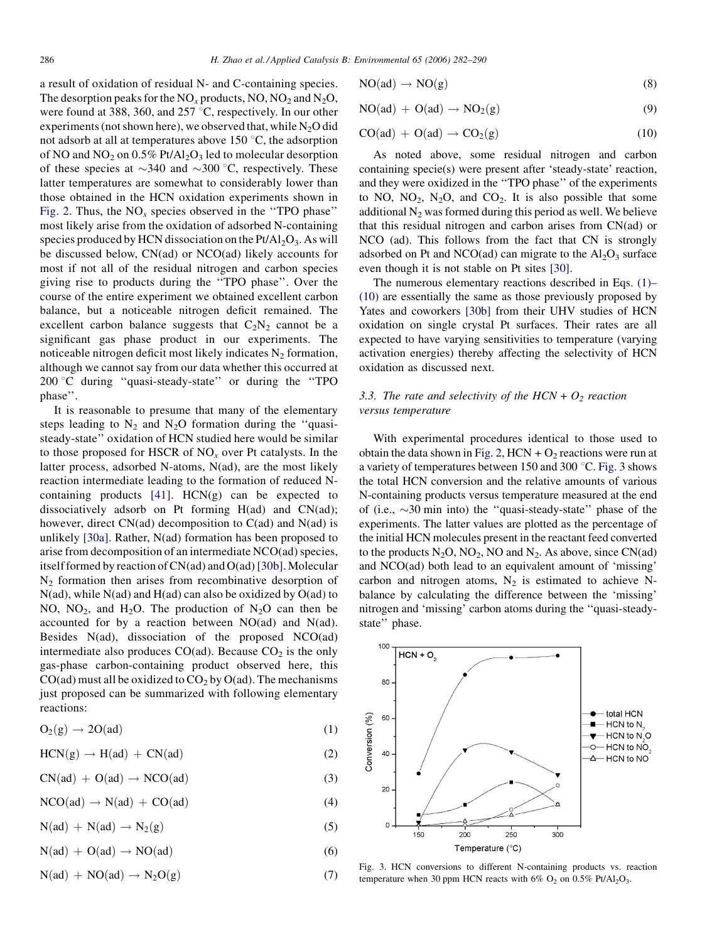<span id="page-4-0"></span>a result of oxidation of residual N- and C-containing species. The desorption peaks for the  $NO_x$  products,  $NO$ ,  $NO_2$  and  $N_2O$ , were found at 388, 360, and 257  $\degree$ C, respectively. In our other experiments (not shown here), we observed that, while  $N_2O$  did not adsorb at all at temperatures above  $150\textdegree C$ , the adsorption of NO and NO<sub>2</sub> on  $0.5\%$  Pt/Al<sub>2</sub>O<sub>3</sub> led to molecular desorption of these species at  $\sim$ 340 and  $\sim$ 300 °C, respectively. These latter temperatures are somewhat to considerably lower than those obtained in the HCN oxidation experiments shown in [Fig. 2](#page-3-0). Thus, the  $NO<sub>x</sub>$  species observed in the "TPO phase" most likely arise from the oxidation of adsorbed N-containing species produced by HCN dissociation on the  $Pt/Al_2O_3$ . As will be discussed below, CN(ad) or NCO(ad) likely accounts for most if not all of the residual nitrogen and carbon species giving rise to products during the ''TPO phase''. Over the course of the entire experiment we obtained excellent carbon balance, but a noticeable nitrogen deficit remained. The excellent carbon balance suggests that  $C_2N_2$  cannot be a significant gas phase product in our experiments. The noticeable nitrogen deficit most likely indicates  $N_2$  formation, although we cannot say from our data whether this occurred at  $200 \degree C$  during "quasi-steady-state" or during the "TPO phase''.

It is reasonable to presume that many of the elementary steps leading to  $N_2$  and  $N_2O$  formation during the "quasisteady-state'' oxidation of HCN studied here would be similar to those proposed for HSCR of  $NO<sub>x</sub>$  over Pt catalysts. In the latter process, adsorbed N-atoms, N(ad), are the most likely reaction intermediate leading to the formation of reduced Ncontaining products  $[41]$ .  $HCN(g)$  can be expected to dissociatively adsorb on Pt forming H(ad) and CN(ad); however, direct  $CN(ad)$  decomposition to  $C(ad)$  and  $N(ad)$  is unlikely [\[30a\].](#page-8-0) Rather, N(ad) formation has been proposed to arise from decomposition of an intermediate NCO(ad) species, itself formed by reaction of CN(ad) and O(ad) [\[30b\].](#page-8-0) Molecular  $N_2$  formation then arises from recombinative desorption of  $N(ad)$ , while  $N(ad)$  and  $H(ad)$  can also be oxidized by  $O(ad)$  to NO,  $NO<sub>2</sub>$ , and H<sub>2</sub>O. The production of N<sub>2</sub>O can then be accounted for by a reaction between NO(ad) and N(ad). Besides N(ad), dissociation of the proposed NCO(ad) intermediate also produces  $CO(ad)$ . Because  $CO<sub>2</sub>$  is the only gas-phase carbon-containing product observed here, this  $CO(ad)$  must all be oxidized to  $CO<sub>2</sub>$  by  $O(ad)$ . The mechanisms just proposed can be summarized with following elementary reactions:

$$
O_2(g) \to 2O(ad) \tag{1}
$$

$$
HCN(g) \to H(ad) + CN(ad)
$$
 (2)

$$
CN(ad) + O(ad) \rightarrow NCO(ad) \tag{3}
$$

$$
NCO(ad) \to N(ad) + CO(ad) \tag{4}
$$

$$
N(ad) + N(ad) \to N_2(g) \tag{5}
$$

$$
N(ad) + O(ad) \to NO(ad) \tag{6}
$$

$$
N(ad) + NO(ad) \to N_2O(g) \tag{7}
$$

$$
NO(ad) \to NO(g) \tag{8}
$$

$$
NO(ad) + O(ad) \rightarrow NO_2(g)
$$
 (9)

$$
CO(ad) + O(ad) \rightarrow CO2(g)
$$
 (10)

As noted above, some residual nitrogen and carbon containing specie(s) were present after 'steady-state' reaction, and they were oxidized in the ''TPO phase'' of the experiments to NO,  $NO_2$ ,  $N_2O$ , and  $CO_2$ . It is also possible that some additional  $N<sub>2</sub>$  was formed during this period as well. We believe that this residual nitrogen and carbon arises from CN(ad) or NCO (ad). This follows from the fact that CN is strongly adsorbed on Pt and NCO(ad) can migrate to the  $Al_2O_3$  surface even though it is not stable on Pt sites [\[30\]](#page-8-0).

The numerous elementary reactions described in Eqs. (1)– (10) are essentially the same as those previously proposed by Yates and coworkers [\[30b\]](#page-8-0) from their UHV studies of HCN oxidation on single crystal Pt surfaces. Their rates are all expected to have varying sensitivities to temperature (varying activation energies) thereby affecting the selectivity of HCN oxidation as discussed next.

## 3.3. The rate and selectivity of the HCN +  $O_2$  reaction versus temperature

With experimental procedures identical to those used to obtain the data shown in [Fig. 2,](#page-3-0) HCN +  $O_2$  reactions were run at a variety of temperatures between 150 and 300  $^{\circ}$ C. Fig. 3 shows the total HCN conversion and the relative amounts of various N-containing products versus temperature measured at the end of (i.e.,  $\sim$ 30 min into) the "quasi-steady-state" phase of the experiments. The latter values are plotted as the percentage of the initial HCN molecules present in the reactant feed converted to the products  $N_2O$ ,  $NO_2$ ,  $NO$  and  $N_2$ . As above, since  $CN(ad)$ and NCO(ad) both lead to an equivalent amount of 'missing' carbon and nitrogen atoms,  $N_2$  is estimated to achieve Nbalance by calculating the difference between the 'missing' nitrogen and 'missing' carbon atoms during the ''quasi-steadystate'' phase.



Fig. 3. HCN conversions to different N-containing products vs. reaction temperature when 30 ppm HCN reacts with 6%  $O_2$  on 0.5% Pt/Al<sub>2</sub>O<sub>3</sub>.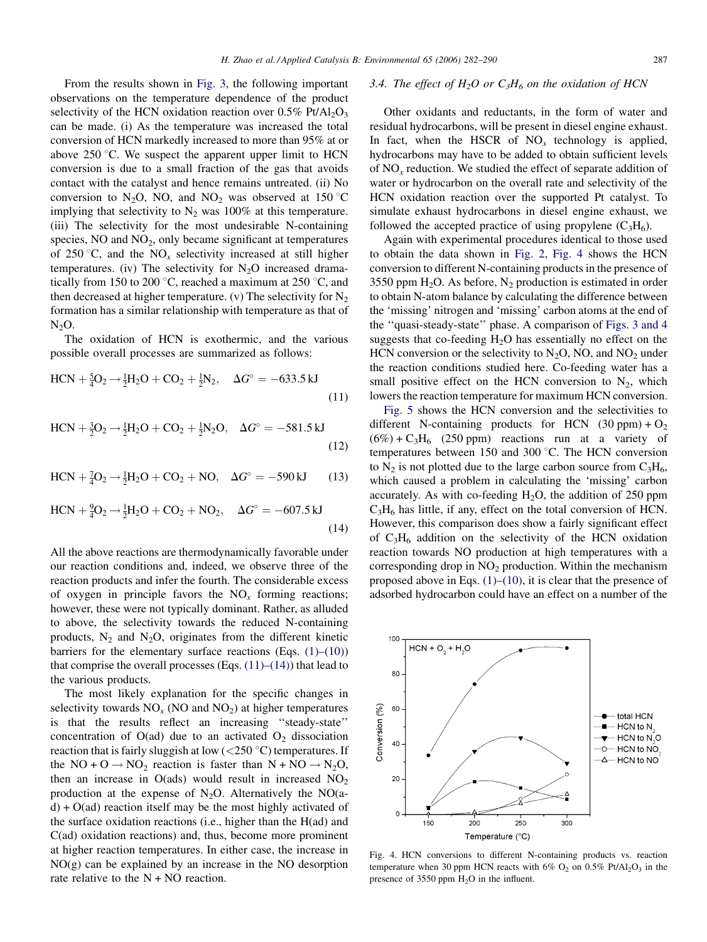From the results shown in [Fig. 3](#page-4-0), the following important observations on the temperature dependence of the product selectivity of the HCN oxidation reaction over  $0.5\%$  Pt/Al<sub>2</sub>O<sub>3</sub> can be made. (i) As the temperature was increased the total conversion of HCN markedly increased to more than 95% at or above 250  $\degree$ C. We suspect the apparent upper limit to HCN conversion is due to a small fraction of the gas that avoids contact with the catalyst and hence remains untreated. (ii) No conversion to N<sub>2</sub>O, NO, and NO<sub>2</sub> was observed at 150 °C implying that selectivity to  $N_2$  was 100% at this temperature. (iii) The selectivity for the most undesirable N-containing species,  $NO$  and  $NO<sub>2</sub>$ , only became significant at temperatures of 250 °C, and the  $NO<sub>x</sub>$  selectivity increased at still higher temperatures. (iv) The selectivity for  $N_2O$  increased dramatically from 150 to 200  $\degree$ C, reached a maximum at 250  $\degree$ C, and then decreased at higher temperature. (v) The selectivity for  $N_2$ formation has a similar relationship with temperature as that of  $N_2O$ .

The oxidation of HCN is exothermic, and the various possible overall processes are summarized as follows:

$$
HCN + \frac{5}{4}O_2 \rightarrow \frac{1}{2}H_2O + CO_2 + \frac{1}{2}N_2, \quad \Delta G^\circ = -633.5 \,\text{kJ}
$$
\n(11)

$$
HCN + \frac{3}{2}O_2 \rightarrow \frac{1}{2}H_2O + CO_2 + \frac{1}{2}N_2O, \quad \Delta G^\circ = -581.5 \,\text{kJ}
$$
\n(12)

$$
HCN + \frac{7}{4}O_2 \rightarrow \frac{1}{2}H_2O + CO_2 + NO, \quad \Delta G^{\circ} = -590 \,\text{kJ} \tag{13}
$$

$$
HCN + {}^{9}_{4}O_{2} \rightarrow {}^{1}_{2}H_{2}O + CO_{2} + NO_{2}, \quad \Delta G^{\circ} = -607.5 \,\text{kJ}
$$
\n(14)

All the above reactions are thermodynamically favorable under our reaction conditions and, indeed, we observe three of the reaction products and infer the fourth. The considerable excess of oxygen in principle favors the  $NO<sub>x</sub>$  forming reactions; however, these were not typically dominant. Rather, as alluded to above, the selectivity towards the reduced N-containing products,  $N_2$  and  $N_2O$ , originates from the different kinetic barriers for the elementary surface reactions (Eqs.  $(1)$ – $(10)$ ) that comprise the overall processes (Eqs.  $(11)–(14)$ ) that lead to the various products.

The most likely explanation for the specific changes in selectivity towards  $NO<sub>x</sub>$  (NO and  $NO<sub>2</sub>$ ) at higher temperatures is that the results reflect an increasing ''steady-state'' concentration of  $O(ad)$  due to an activated  $O_2$  dissociation reaction that is fairly sluggish at low  $(<250 \degree C)$  temperatures. If the  $NO + O \rightarrow NO_2$  reaction is faster than  $N + NO \rightarrow N_2O$ , then an increase in O(ads) would result in increased  $NO<sub>2</sub>$ production at the expense of  $N_2O$ . Alternatively the NO(a $d$ ) + O(ad) reaction itself may be the most highly activated of the surface oxidation reactions (i.e., higher than the H(ad) and C(ad) oxidation reactions) and, thus, become more prominent at higher reaction temperatures. In either case, the increase in NO(g) can be explained by an increase in the NO desorption rate relative to the  $N + NO$  reaction.

#### 3.4. The effect of H<sub>2</sub>O or  $C_3H_6$  on the oxidation of HCN

Other oxidants and reductants, in the form of water and residual hydrocarbons, will be present in diesel engine exhaust. In fact, when the HSCR of  $NO<sub>x</sub>$  technology is applied, hydrocarbons may have to be added to obtain sufficient levels of  $NO<sub>x</sub>$  reduction. We studied the effect of separate addition of water or hydrocarbon on the overall rate and selectivity of the HCN oxidation reaction over the supported Pt catalyst. To simulate exhaust hydrocarbons in diesel engine exhaust, we followed the accepted practice of using propylene  $(C_3H_6)$ .

Again with experimental procedures identical to those used to obtain the data shown in [Fig. 2](#page-3-0), Fig. 4 shows the HCN conversion to different N-containing products in the presence of 3550 ppm  $H_2O$ . As before,  $N_2$  production is estimated in order to obtain N-atom balance by calculating the difference between the 'missing' nitrogen and 'missing' carbon atoms at the end of the ''quasi-steady-state'' phase. A comparison of [Figs. 3 and 4](#page-4-0) suggests that co-feeding  $H_2O$  has essentially no effect on the HCN conversion or the selectivity to  $N_2O$ , NO, and  $NO_2$  under the reaction conditions studied here. Co-feeding water has a small positive effect on the HCN conversion to  $N_2$ , which lowers the reaction temperature for maximum HCN conversion.

[Fig. 5](#page-6-0) shows the HCN conversion and the selectivities to different N-containing products for HCN  $(30 \text{ ppm}) + \text{O}_2$  $(6\%) + C_3H_6$  (250 ppm) reactions run at a variety of temperatures between 150 and 300 $^{\circ}$ C. The HCN conversion to  $N_2$  is not plotted due to the large carbon source from  $C_3H_6$ , which caused a problem in calculating the 'missing' carbon accurately. As with co-feeding  $H_2O$ , the addition of 250 ppm  $C_3H_6$  has little, if any, effect on the total conversion of HCN. However, this comparison does show a fairly significant effect of  $C_3H_6$  addition on the selectivity of the HCN oxidation reaction towards NO production at high temperatures with a corresponding drop in  $NO<sub>2</sub>$  production. Within the mechanism proposed above in Eqs.  $(1)$ – $(10)$ , it is clear that the presence of adsorbed hydrocarbon could have an effect on a number of the



Fig. 4. HCN conversions to different N-containing products vs. reaction temperature when 30 ppm HCN reacts with  $6\%$  O<sub>2</sub> on 0.5% Pt/Al<sub>2</sub>O<sub>3</sub> in the presence of 3550 ppm  $H<sub>2</sub>O$  in the influent.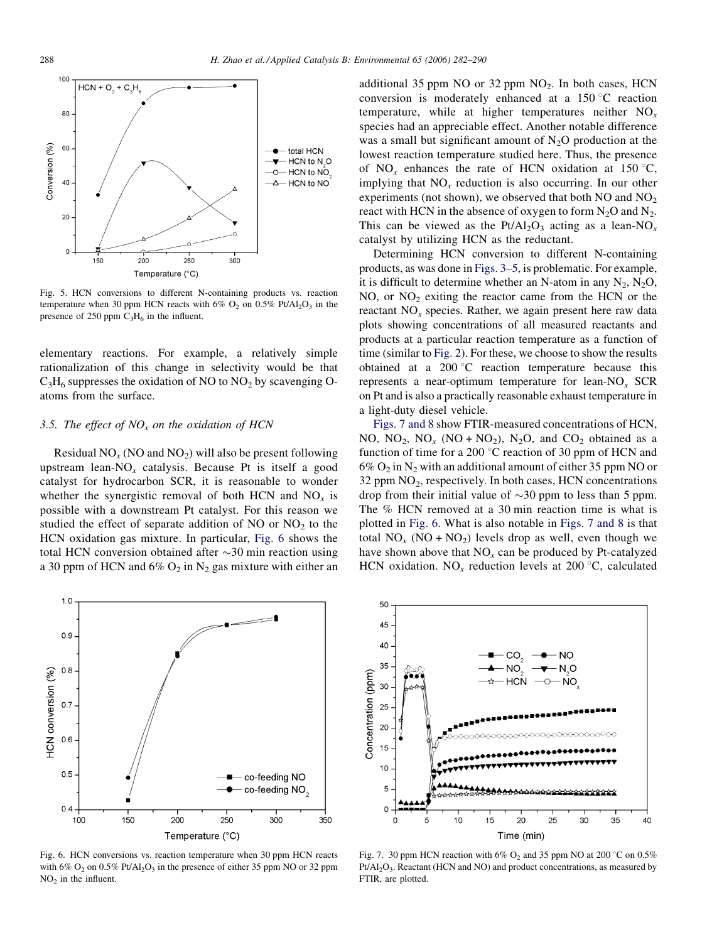<span id="page-6-0"></span>

Fig. 5. HCN conversions to different N-containing products vs. reaction temperature when 30 ppm HCN reacts with 6%  $O_2$  on 0.5% Pt/Al<sub>2</sub>O<sub>3</sub> in the presence of 250 ppm  $C_3H_6$  in the influent.

elementary reactions. For example, a relatively simple rationalization of this change in selectivity would be that  $C_3H_6$  suppresses the oxidation of NO to NO<sub>2</sub> by scavenging Oatoms from the surface.

## 3.5. The effect of  $NO<sub>x</sub>$  on the oxidation of HCN

Residual  $NO<sub>x</sub>$  (NO and  $NO<sub>2</sub>$ ) will also be present following upstream lean- $NO<sub>x</sub>$  catalysis. Because Pt is itself a good catalyst for hydrocarbon SCR, it is reasonable to wonder whether the synergistic removal of both HCN and  $NO<sub>x</sub>$  is possible with a downstream Pt catalyst. For this reason we studied the effect of separate addition of NO or  $NO<sub>2</sub>$  to the HCN oxidation gas mixture. In particular, Fig. 6 shows the total HCN conversion obtained after  $\sim$ 30 min reaction using a 30 ppm of HCN and  $6\%$  O<sub>2</sub> in N<sub>2</sub> gas mixture with either an additional 35 ppm NO or 32 ppm  $NO<sub>2</sub>$ . In both cases, HCN conversion is moderately enhanced at a  $150^{\circ}$ C reaction temperature, while at higher temperatures neither  $NO<sub>x</sub>$ species had an appreciable effect. Another notable difference was a small but significant amount of  $N_2O$  production at the lowest reaction temperature studied here. Thus, the presence of NO<sub>x</sub> enhances the rate of HCN oxidation at 150 °C, implying that  $NO<sub>x</sub>$  reduction is also occurring. In our other experiments (not shown), we observed that both  $NO$  and  $NO<sub>2</sub>$ react with HCN in the absence of oxygen to form  $N_2O$  and  $N_2$ . This can be viewed as the Pt/Al<sub>2</sub>O<sub>3</sub> acting as a lean-NO<sub>x</sub> catalyst by utilizing HCN as the reductant.

Determining HCN conversion to different N-containing products, as was done in [Figs. 3–5,](#page-4-0) is problematic. For example, it is difficult to determine whether an N-atom in any  $N_2$ ,  $N_2O$ ,  $NO$ , or  $NO<sub>2</sub>$  exiting the reactor came from the HCN or the reactant  $NO<sub>x</sub>$  species. Rather, we again present here raw data plots showing concentrations of all measured reactants and products at a particular reaction temperature as a function of time (similar to [Fig. 2\)](#page-3-0). For these, we choose to show the results obtained at a 200 $\degree$ C reaction temperature because this represents a near-optimum temperature for lean-NO<sub>x</sub> SCR on Pt and is also a practically reasonable exhaust temperature in a light-duty diesel vehicle.

Figs. 7 and 8 show FTIR-measured concentrations of HCN, NO,  $NO<sub>2</sub>$ ,  $NO<sub>x</sub>$  (NO + NO<sub>2</sub>), N<sub>2</sub>O, and CO<sub>2</sub> obtained as a function of time for a 200  $\degree$ C reaction of 30 ppm of HCN and  $6\%$  O<sub>2</sub> in N<sub>2</sub> with an additional amount of either 35 ppm NO or 32 ppm  $NO<sub>2</sub>$ , respectively. In both cases, HCN concentrations drop from their initial value of  $\sim$ 30 ppm to less than 5 ppm. The % HCN removed at a 30 min reaction time is what is plotted in Fig. 6. What is also notable in Figs. 7 and 8 is that total  $NO_x (NO + NO_2)$  levels drop as well, even though we have shown above that  $NO<sub>x</sub>$  can be produced by Pt-catalyzed HCN oxidation. NO<sub>x</sub> reduction levels at 200 °C, calculated



Fig. 6. HCN conversions vs. reaction temperature when 30 ppm HCN reacts with 6%  $O_2$  on 0.5% Pt/Al<sub>2</sub> $O_3$  in the presence of either 35 ppm NO or 32 ppm  $NO<sub>2</sub>$  in the influent.



Fig. 7. 30 ppm HCN reaction with 6%  $O_2$  and 35 ppm NO at 200 °C on 0.5% Pt/Al<sub>2</sub>O<sub>3</sub>. Reactant (HCN and NO) and product concentrations, as measured by FTIR, are plotted.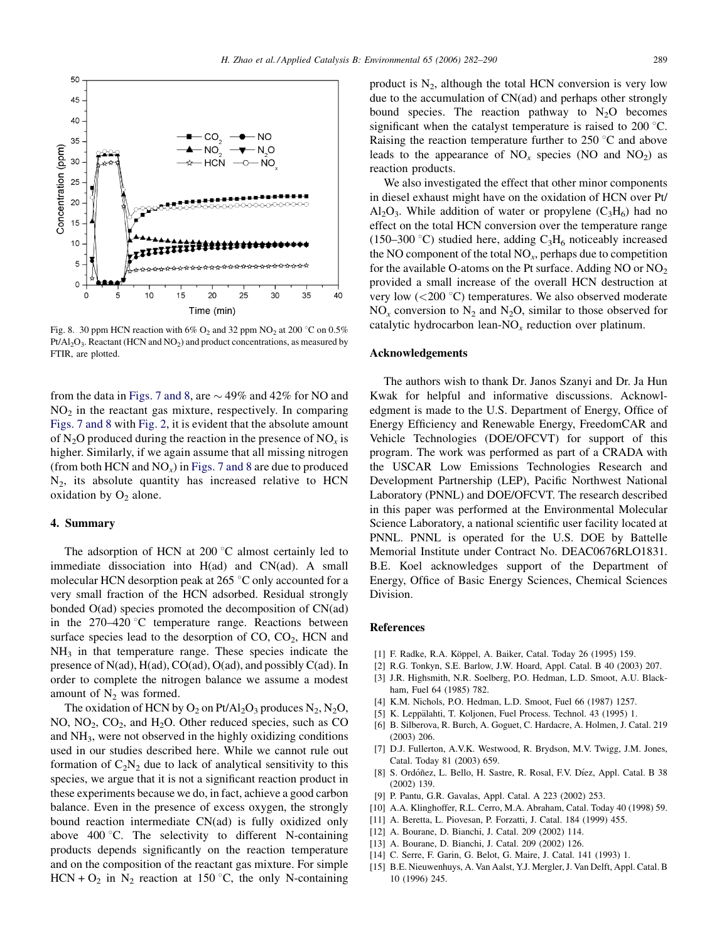<span id="page-7-0"></span>

Fig. 8. 30 ppm HCN reaction with 6%  $O_2$  and 32 ppm NO<sub>2</sub> at 200 °C on 0.5%  $Pt/Al_2O_3$ . Reactant (HCN and NO<sub>2</sub>) and product concentrations, as measured by FTIR, are plotted.

from the data in [Figs. 7 and 8](#page-6-0), are  $\sim$  49% and 42% for NO and  $NO<sub>2</sub>$  in the reactant gas mixture, respectively. In comparing [Figs. 7 and 8](#page-6-0) with [Fig. 2](#page-3-0), it is evident that the absolute amount of N<sub>2</sub>O produced during the reaction in the presence of NO<sub>x</sub> is higher. Similarly, if we again assume that all missing nitrogen (from both HCN and  $NO<sub>x</sub>$ ) in [Figs. 7 and 8](#page-6-0) are due to produced  $N_2$ , its absolute quantity has increased relative to HCN oxidation by  $O_2$  alone.

## 4. Summary

The adsorption of HCN at  $200\degree C$  almost certainly led to immediate dissociation into H(ad) and CN(ad). A small molecular HCN desorption peak at  $265^{\circ}$ C only accounted for a very small fraction of the HCN adsorbed. Residual strongly bonded O(ad) species promoted the decomposition of CN(ad) in the  $270-420$  °C temperature range. Reactions between surface species lead to the desorption of  $CO$ ,  $CO<sub>2</sub>$ ,  $HCN$  and  $NH<sub>3</sub>$  in that temperature range. These species indicate the presence of  $N(ad)$ ,  $H(ad)$ ,  $CO(ad)$ ,  $O(ad)$ , and possibly  $C(ad)$ . In order to complete the nitrogen balance we assume a modest amount of  $N_2$  was formed.

The oxidation of HCN by  $O_2$  on Pt/Al<sub>2</sub>O<sub>3</sub> produces N<sub>2</sub>, N<sub>2</sub>O<sub>2</sub> NO,  $NO<sub>2</sub>$ ,  $CO<sub>2</sub>$ , and  $H<sub>2</sub>O$ . Other reduced species, such as CO and NH3, were not observed in the highly oxidizing conditions used in our studies described here. While we cannot rule out formation of  $C_2N_2$  due to lack of analytical sensitivity to this species, we argue that it is not a significant reaction product in these experiments because we do, in fact, achieve a good carbon balance. Even in the presence of excess oxygen, the strongly bound reaction intermediate CN(ad) is fully oxidized only above  $400^{\circ}$ C. The selectivity to different N-containing products depends significantly on the reaction temperature and on the composition of the reactant gas mixture. For simple  $HCN + O_2$  in N<sub>2</sub> reaction at 150 °C, the only N-containing

product is  $N_2$ , although the total HCN conversion is very low due to the accumulation of CN(ad) and perhaps other strongly bound species. The reaction pathway to  $N_2O$  becomes significant when the catalyst temperature is raised to  $200^{\circ}$ C. Raising the reaction temperature further to  $250^{\circ}$ C and above leads to the appearance of  $NO<sub>x</sub>$  species (NO and  $NO<sub>2</sub>$ ) as reaction products.

We also investigated the effect that other minor components in diesel exhaust might have on the oxidation of HCN over Pt/  $Al_2O_3$ . While addition of water or propylene  $(C_3H_6)$  had no effect on the total HCN conversion over the temperature range (150–300 °C) studied here, adding  $C_3H_6$  noticeably increased the NO component of the total  $NO<sub>x</sub>$ , perhaps due to competition for the available O-atoms on the Pt surface. Adding NO or  $NO<sub>2</sub>$ provided a small increase of the overall HCN destruction at very low  $(<200 \degree C)$  temperatures. We also observed moderate  $NO<sub>x</sub>$  conversion to  $N<sub>2</sub>$  and  $N<sub>2</sub>O$ , similar to those observed for catalytic hydrocarbon lean- $NO<sub>x</sub>$  reduction over platinum.

## Acknowledgements

The authors wish to thank Dr. Janos Szanyi and Dr. Ja Hun Kwak for helpful and informative discussions. Acknowledgment is made to the U.S. Department of Energy, Office of Energy Efficiency and Renewable Energy, FreedomCAR and Vehicle Technologies (DOE/OFCVT) for support of this program. The work was performed as part of a CRADA with the USCAR Low Emissions Technologies Research and Development Partnership (LEP), Pacific Northwest National Laboratory (PNNL) and DOE/OFCVT. The research described in this paper was performed at the Environmental Molecular Science Laboratory, a national scientific user facility located at PNNL. PNNL is operated for the U.S. DOE by Battelle Memorial Institute under Contract No. DEAC0676RLO1831. B.E. Koel acknowledges support of the Department of Energy, Office of Basic Energy Sciences, Chemical Sciences Division.

## References

- [1] F. Radke, R.A. Köppel, A. Baiker, Catal. Today 26 (1995) 159.
- [2] R.G. Tonkyn, S.E. Barlow, J.W. Hoard, Appl. Catal. B 40 (2003) 207.
- [3] J.R. Highsmith, N.R. Soelberg, P.O. Hedman, L.D. Smoot, A.U. Blackham, Fuel 64 (1985) 782.
- [4] K.M. Nichols, P.O. Hedman, L.D. Smoot, Fuel 66 (1987) 1257.
- [5] K. Leppälahti, T. Koljonen, Fuel Process. Technol. 43 (1995) 1.
- [6] B. Silberova, R. Burch, A. Goguet, C. Hardacre, A. Holmen, J. Catal. 219 (2003) 206.
- [7] D.J. Fullerton, A.V.K. Westwood, R. Brydson, M.V. Twigg, J.M. Jones, Catal. Today 81 (2003) 659.
- [8] S. Ordóñez, L. Bello, H. Sastre, R. Rosal, F.V. Díez, Appl. Catal. B 38 (2002) 139.
- [9] P. Pantu, G.R. Gavalas, Appl. Catal. A 223 (2002) 253.
- [10] A.A. Klinghoffer, R.L. Cerro, M.A. Abraham, Catal. Today 40 (1998) 59.
- [11] A. Beretta, L. Piovesan, P. Forzatti, J. Catal. 184 (1999) 455.
- [12] A. Bourane, D. Bianchi, J. Catal. 209 (2002) 114.
- [13] A. Bourane, D. Bianchi, J. Catal. 209 (2002) 126.
- [14] C. Serre, F. Garin, G. Belot, G. Maire, J. Catal. 141 (1993) 1.
- [15] B.E. Nieuwenhuys, A. Van Aalst, Y.J. Mergler, J. Van Delft, Appl. Catal. B 10 (1996) 245.